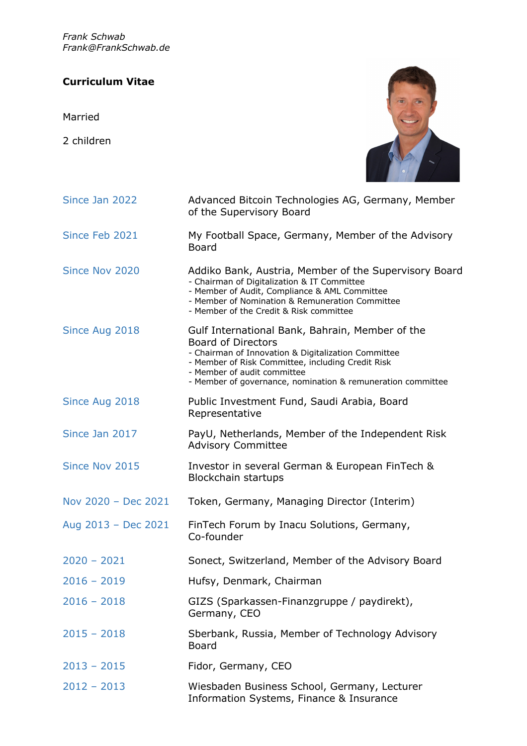*Frank Schwab Frank@FrankSchwab.de*

## **Curriculum Vitae**

Married

2 children



| Since Jan 2022      | Advanced Bitcoin Technologies AG, Germany, Member<br>of the Supervisory Board                                                                                                                                                                                                          |
|---------------------|----------------------------------------------------------------------------------------------------------------------------------------------------------------------------------------------------------------------------------------------------------------------------------------|
| Since Feb 2021      | My Football Space, Germany, Member of the Advisory<br>Board                                                                                                                                                                                                                            |
| Since Nov 2020      | Addiko Bank, Austria, Member of the Supervisory Board<br>- Chairman of Digitalization & IT Committee<br>- Member of Audit, Compliance & AML Committee<br>- Member of Nomination & Remuneration Committee<br>- Member of the Credit & Risk committee                                    |
| Since Aug 2018      | Gulf International Bank, Bahrain, Member of the<br><b>Board of Directors</b><br>- Chairman of Innovation & Digitalization Committee<br>- Member of Risk Committee, including Credit Risk<br>- Member of audit committee<br>- Member of governance, nomination & remuneration committee |
| Since Aug 2018      | Public Investment Fund, Saudi Arabia, Board<br>Representative                                                                                                                                                                                                                          |
| Since Jan 2017      | PayU, Netherlands, Member of the Independent Risk<br><b>Advisory Committee</b>                                                                                                                                                                                                         |
| Since Nov 2015      | Investor in several German & European FinTech &<br>Blockchain startups                                                                                                                                                                                                                 |
| Nov 2020 - Dec 2021 | Token, Germany, Managing Director (Interim)                                                                                                                                                                                                                                            |
| Aug 2013 - Dec 2021 | FinTech Forum by Inacu Solutions, Germany,<br>Co-founder                                                                                                                                                                                                                               |
| $2020 - 2021$       | Sonect, Switzerland, Member of the Advisory Board                                                                                                                                                                                                                                      |
| $2016 - 2019$       | Hufsy, Denmark, Chairman                                                                                                                                                                                                                                                               |
| $2016 - 2018$       | GIZS (Sparkassen-Finanzgruppe / paydirekt),<br>Germany, CEO                                                                                                                                                                                                                            |
| $2015 - 2018$       | Sberbank, Russia, Member of Technology Advisory<br>Board                                                                                                                                                                                                                               |
| $2013 - 2015$       | Fidor, Germany, CEO                                                                                                                                                                                                                                                                    |
| $2012 - 2013$       | Wiesbaden Business School, Germany, Lecturer                                                                                                                                                                                                                                           |

Information Systems, Finance & Insurance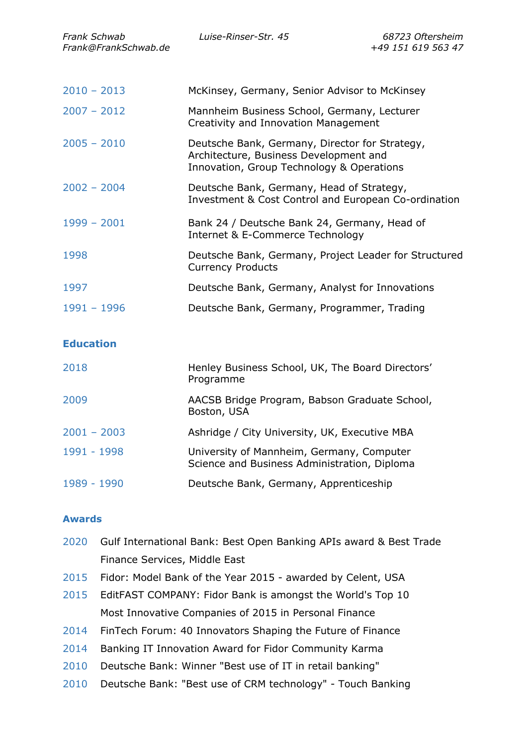| <b>Frank Schwab</b><br>Frank@FrankSchwab.de | Luise-Rinser-Str. 45                                                                                                                  | 68723 Oftersheim<br>+49 151 619 563 47 |
|---------------------------------------------|---------------------------------------------------------------------------------------------------------------------------------------|----------------------------------------|
| $2010 - 2013$                               | McKinsey, Germany, Senior Advisor to McKinsey                                                                                         |                                        |
| $2007 - 2012$                               | Mannheim Business School, Germany, Lecturer<br>Creativity and Innovation Management                                                   |                                        |
| $2005 - 2010$                               | Deutsche Bank, Germany, Director for Strategy,<br>Architecture, Business Development and<br>Innovation, Group Technology & Operations |                                        |
| $2002 - 2004$                               | Deutsche Bank, Germany, Head of Strategy,<br>Investment & Cost Control and European Co-ordination                                     |                                        |
| $1999 - 2001$                               | Bank 24 / Deutsche Bank 24, Germany, Head of<br>Internet & E-Commerce Technology                                                      |                                        |
| 1998                                        | Deutsche Bank, Germany, Project Leader for Structured<br><b>Currency Products</b>                                                     |                                        |
| 1997                                        | Deutsche Bank, Germany, Analyst for Innovations                                                                                       |                                        |
| $1991 - 1996$                               | Deutsche Bank, Germany, Programmer, Trading                                                                                           |                                        |

## **Education**

| 2018          | Henley Business School, UK, The Board Directors'<br>Programme                             |
|---------------|-------------------------------------------------------------------------------------------|
| 2009          | AACSB Bridge Program, Babson Graduate School,<br>Boston, USA                              |
| $2001 - 2003$ | Ashridge / City University, UK, Executive MBA                                             |
| 1991 - 1998   | University of Mannheim, Germany, Computer<br>Science and Business Administration, Diploma |
| 1989 - 1990   | Deutsche Bank, Germany, Apprenticeship                                                    |

## **Awards**

|      | 2020 Gulf International Bank: Best Open Banking APIs award & Best Trade |
|------|-------------------------------------------------------------------------|
|      | Finance Services, Middle East                                           |
| 2015 | Fidor: Model Bank of the Year 2015 - awarded by Celent, USA             |
|      | 2015 EditFAST COMPANY: Fidor Bank is amongst the World's Top 10         |
|      | Most Innovative Companies of 2015 in Personal Finance                   |
| 2014 | FinTech Forum: 40 Innovators Shaping the Future of Finance              |
| 2014 | Banking IT Innovation Award for Fidor Community Karma                   |
| 2010 | Deutsche Bank: Winner "Best use of IT in retail banking"                |
| 2010 | Deutsche Bank: "Best use of CRM technology" - Touch Banking             |